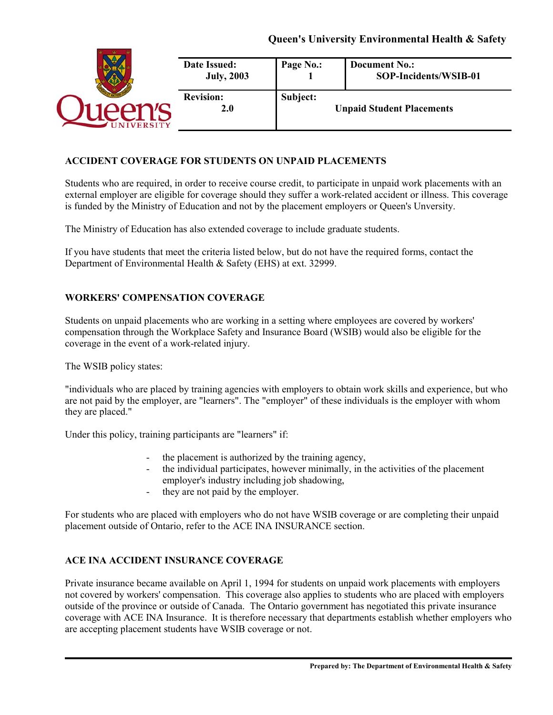# **Queen's University Environmental Health & Safety**

|               | Date Issued:<br><b>July, 2003</b> | Page No.: | <b>Document No.:</b><br>SOP-Incidents/WSIB-01 |
|---------------|-----------------------------------|-----------|-----------------------------------------------|
| <b>ERSITY</b> | <b>Revision:</b><br>2.0           | Subject:  | <b>Unpaid Student Placements</b>              |

#### **ACCIDENT COVERAGE FOR STUDENTS ON UNPAID PLACEMENTS**

Students who are required, in order to receive course credit, to participate in unpaid work placements with an external employer are eligible for coverage should they suffer a work-related accident or illness. This coverage is funded by the Ministry of Education and not by the placement employers or Queen's Unversity.

The Ministry of Education has also extended coverage to include graduate students.

If you have students that meet the criteria listed below, but do not have the required forms, contact the Department of Environmental Health & Safety (EHS) at ext. 32999.

#### **WORKERS' COMPENSATION COVERAGE**

Students on unpaid placements who are working in a setting where employees are covered by workers' compensation through the Workplace Safety and Insurance Board (WSIB) would also be eligible for the coverage in the event of a work-related injury.

The WSIB policy states:

"individuals who are placed by training agencies with employers to obtain work skills and experience, but who are not paid by the employer, are "learners". The "employer" of these individuals is the employer with whom they are placed."

Under this policy, training participants are "learners" if:

- the placement is authorized by the training agency,
- the individual participates, however minimally, in the activities of the placement employer's industry including job shadowing,
- they are not paid by the employer.

For students who are placed with employers who do not have WSIB coverage or are completing their unpaid placement outside of Ontario, refer to the ACE INA INSURANCE section.

## **ACE INA ACCIDENT INSURANCE COVERAGE**

Private insurance became available on April 1, 1994 for students on unpaid work placements with employers not covered by workers' compensation. This coverage also applies to students who are placed with employers outside of the province or outside of Canada. The Ontario government has negotiated this private insurance coverage with ACE INA Insurance. It is therefore necessary that departments establish whether employers who are accepting placement students have WSIB coverage or not.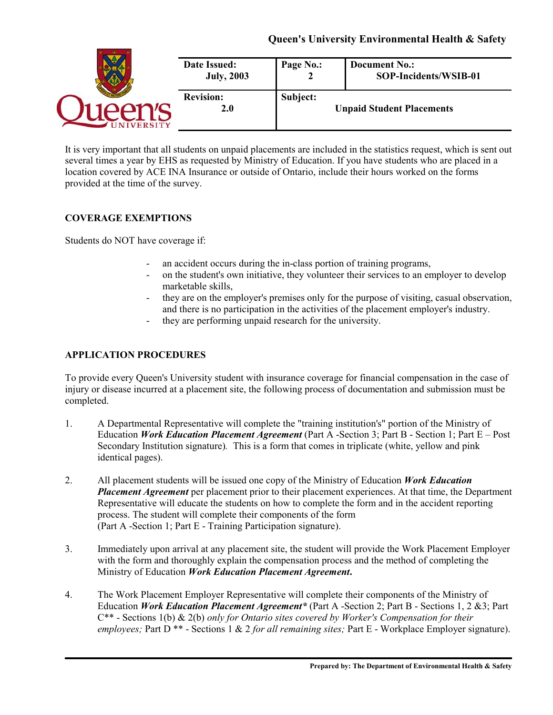| Date Issued:<br><b>July, 2003</b> | Page No.: | <b>Document No.:</b><br>SOP-Incidents/WSIB-01 |
|-----------------------------------|-----------|-----------------------------------------------|
| <b>Revision:</b><br>2.0           | Subject:  | <b>Unpaid Student Placements</b>              |

It is very important that all students on unpaid placements are included in the statistics request, which is sent out several times a year by EHS as requested by Ministry of Education. If you have students who are placed in a location covered by ACE INA Insurance or outside of Ontario, include their hours worked on the forms provided at the time of the survey.

# **COVERAGE EXEMPTIONS**

Students do NOT have coverage if:

- an accident occurs during the in-class portion of training programs,
- on the student's own initiative, they volunteer their services to an employer to develop marketable skills,
- they are on the employer's premises only for the purpose of visiting, casual observation, and there is no participation in the activities of the placement employer's industry.
- they are performing unpaid research for the university.

# **APPLICATION PROCEDURES**

To provide every Queen's University student with insurance coverage for financial compensation in the case of injury or disease incurred at a placement site, the following process of documentation and submission must be completed.

- 1. A Departmental Representative will complete the "training institution's" portion of the Ministry of Education *Work Education Placement Agreement* (Part A -Section 3; Part B - Section 1; Part E – Post Secondary Institution signature)*.* This is a form that comes in triplicate (white, yellow and pink identical pages).
- 2. All placement students will be issued one copy of the Ministry of Education *Work Education Placement Agreement* per placement prior to their placement experiences. At that time, the Department Representative will educate the students on how to complete the form and in the accident reporting process. The student will complete their components of the form (Part A -Section 1; Part E - Training Participation signature).
- 3. Immediately upon arrival at any placement site, the student will provide the Work Placement Employer with the form and thoroughly explain the compensation process and the method of completing the Ministry of Education *Work Education Placement Agreement***.**
- 4. The Work Placement Employer Representative will complete their components of the Ministry of Education *Work Education Placement Agreement\** (Part A -Section 2; Part B - Sections 1, 2 &3; Part C\*\* - Sections 1(b) & 2(b) *only for Ontario sites covered by Worker's Compensation for their employees;* Part D \*\* - Sections 1 & 2 *for all remaining sites;* Part E - Workplace Employer signature).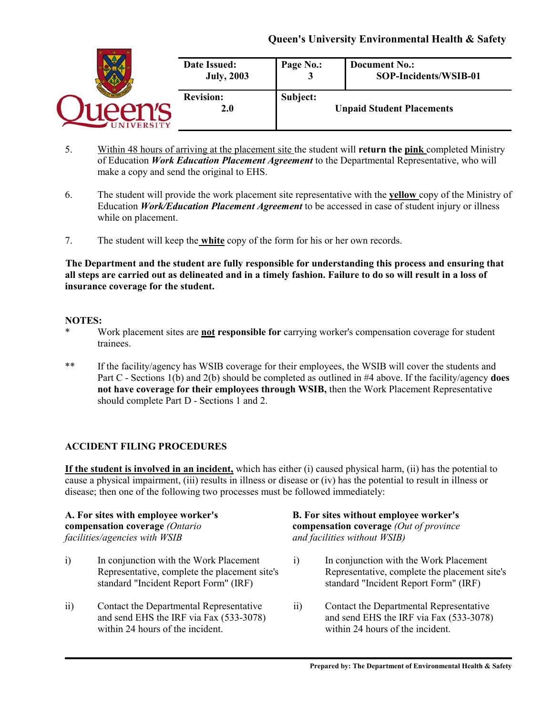# **Queen's University Environmental Health & Safety**

|                 | <b>Date Issued:</b><br><b>July, 2003</b> | Page No.: | <b>Document No.:</b><br>SOP-Incidents/WSIB-01 |
|-----------------|------------------------------------------|-----------|-----------------------------------------------|
| <b>IVERSITY</b> | <b>Revision:</b><br>2.0                  | Subject:  | <b>Unpaid Student Placements</b>              |

- 5. Within 48 hours of arriving at the placement site the student will **return the pink** completed Ministry of Education *Work Education Placement Agreement* to the Departmental Representative, who will make a copy and send the original to EHS.
- 6. The student will provide the work placement site representative with the **yellow** copy of the Ministry of Education *Work/Education Placement Agreement* to be accessed in case of student injury or illness while on placement.
- 7. The student will keep the **white** copy of the form for his or her own records.

**The Department and the student are fully responsible for understanding this process and ensuring that all steps are carried out as delineated and in a timely fashion. Failure to do so will result in a loss of insurance coverage for the student.** 

#### **NOTES:**

- Work placement sites are **not responsible for** carrying worker's compensation coverage for student trainees.
- \*\* If the facility/agency has WSIB coverage for their employees, the WSIB will cover the students and Part C - Sections 1(b) and 2(b) should be completed as outlined in #4 above. If the facility/agency **does not have coverage for their employees through WSIB,** then the Work Placement Representative should complete Part D - Sections 1 and 2.

## **ACCIDENT FILING PROCEDURES**

**If the student is involved in an incident,** which has either (i) caused physical harm, (ii) has the potential to cause a physical impairment, (iii) results in illness or disease or (iv) has the potential to result in illness or disease; then one of the following two processes must be followed immediately:

# *facilities/agencies with WSIB and facilities without WSIB)*

- i) In conjunction with the Work Placement i) In conjunction with the Work Placement
- ii) Contact the Departmental Representative ii) Contact the Departmental Representative within 24 hours of the incident.<br>within 24 hours of the incident.

# **A. For sites with employee worker's B. For sites without employee worker's compensation coverage** *(Ontario* **compensation coverage** *(Out of province*

- Representative, complete the placement site's Representative, complete the placement site's standard "Incident Report Form" (IRF) standard "Incident Report Form" (IRF)
- and send EHS the IRF via Fax (533-3078) and send EHS the IRF via Fax (533-3078)